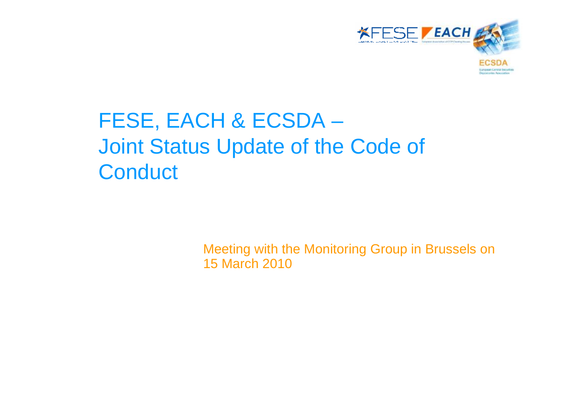

# FESE, EACH & ECSDA – Joint Status Update of the Code of **Conduct**

Meeting with the Monitoring Group in Brussels on 15 March 2010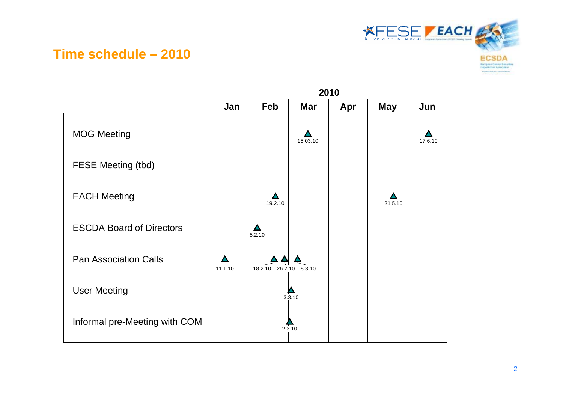

#### **Time schedule – 2010**

|                                 | 2010    |                        |            |     |            |         |  |  |  |
|---------------------------------|---------|------------------------|------------|-----|------------|---------|--|--|--|
|                                 | Jan     | Feb                    | <b>Mar</b> | Apr | <b>May</b> | Jun     |  |  |  |
| <b>MOG Meeting</b>              |         |                        | 15.03.10   |     |            | 17.6.10 |  |  |  |
| <b>FESE Meeting (tbd)</b>       |         |                        |            |     |            |         |  |  |  |
| <b>EACH Meeting</b>             |         | 19.2.10                |            |     | 21.5.10    |         |  |  |  |
| <b>ESCDA Board of Directors</b> |         | 5.2.10                 |            |     |            |         |  |  |  |
| <b>Pan Association Calls</b>    | 11.1.10 | 18.2.10 26.2.10 8.3.10 |            |     |            |         |  |  |  |
| <b>User Meeting</b>             |         |                        | 3.3.10     |     |            |         |  |  |  |
| Informal pre-Meeting with COM   |         |                        | 2.3.10     |     |            |         |  |  |  |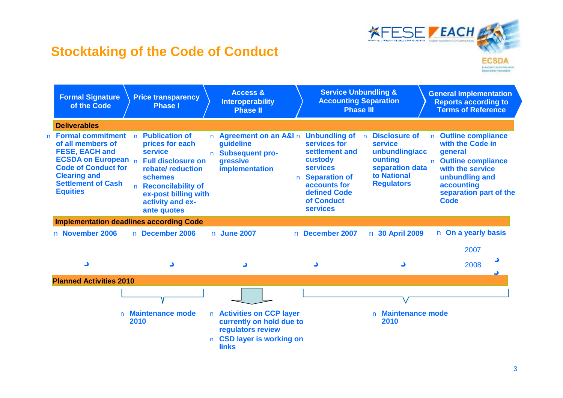

#### **Stocktaking of the Code of Conduct**

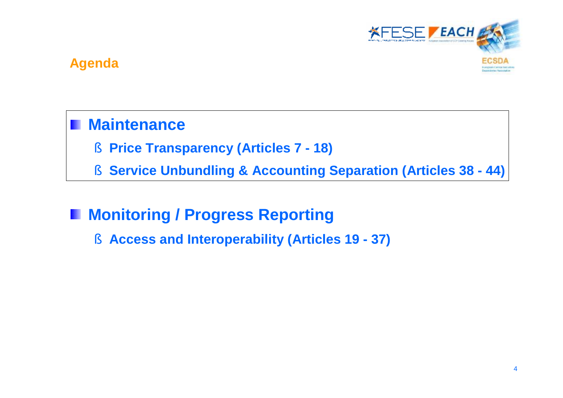

#### **Agenda**

# **Maintenance**

- § **Price Transparency (Articles 7 - 18)**
- § **Service Unbundling & Accounting Separation (Articles 38 - 44)**

#### **Monitoring / Progress Reporting**  Ш

§ **Access and Interoperability (Articles 19 - 37)**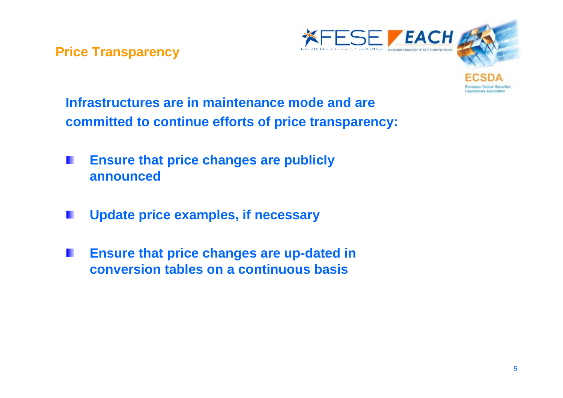**Price Transparency**



**Infrastructures are in maintenance mode and are committed to continue efforts of price transparency:**

- **Ensure that price changes are publicly announced**
- **Update price examples, if necessary**
- **Ensure that price changes are up-dated in**  W **conversion tables on a continuous basis**

uropean Central Securities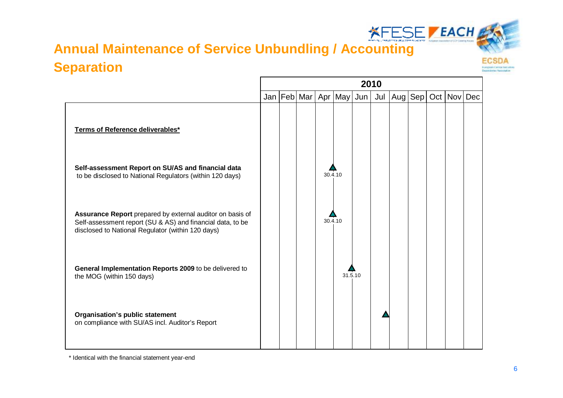# **Annual Maintenance of Service Unbundling / Accounting Separation**

 $\Gamma$ 



|                                                                                                                                                                              | 2010<br>Jan   Feb   Mar<br>Apr $ May $<br>Jul<br>Aug $ Sep $<br>Oct <sub>1</sub><br><b>Nov</b><br>Dec<br>Jun <sub>1</sub> |  |         |         |  |  |  |  |  |
|------------------------------------------------------------------------------------------------------------------------------------------------------------------------------|---------------------------------------------------------------------------------------------------------------------------|--|---------|---------|--|--|--|--|--|
|                                                                                                                                                                              |                                                                                                                           |  |         |         |  |  |  |  |  |
| Terms of Reference deliverables*                                                                                                                                             |                                                                                                                           |  |         |         |  |  |  |  |  |
| Self-assessment Report on SU/AS and financial data<br>to be disclosed to National Regulators (within 120 days)                                                               |                                                                                                                           |  | 30.4.10 |         |  |  |  |  |  |
| Assurance Report prepared by external auditor on basis of<br>Self-assessment report (SU & AS) and financial data, to be<br>disclosed to National Regulator (within 120 days) |                                                                                                                           |  | 30.4.10 |         |  |  |  |  |  |
| General Implementation Reports 2009 to be delivered to<br>the MOG (within 150 days)                                                                                          |                                                                                                                           |  |         | 31.5.10 |  |  |  |  |  |
| Organisation's public statement<br>on compliance with SU/AS incl. Auditor's Report                                                                                           |                                                                                                                           |  |         |         |  |  |  |  |  |

\* Identical with the financial statement year-end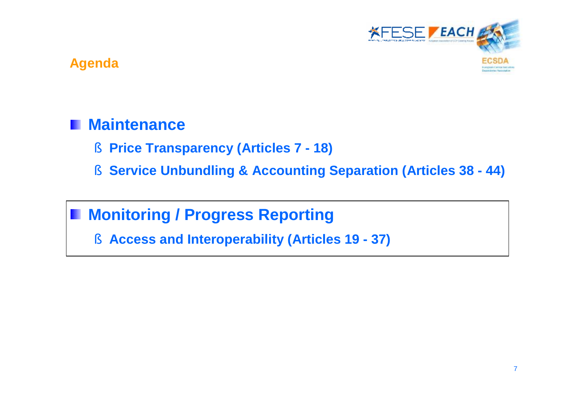

#### **Agenda**

## **Maintenance**

- § **Price Transparency (Articles 7 - 18)**
- § **Service Unbundling & Accounting Separation (Articles 38 - 44)**

# **Monitoring / Progress Reporting**

§ **Access and Interoperability (Articles 19 - 37)**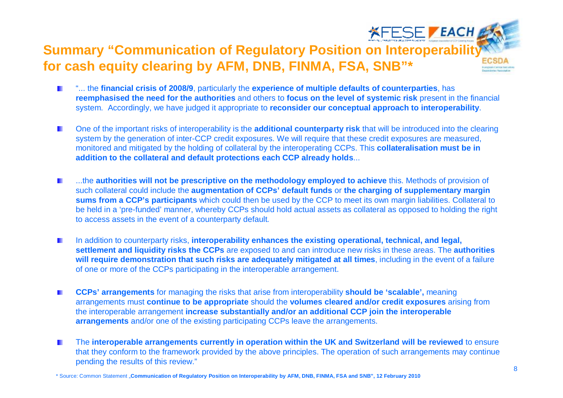### **XFESE / EACH & Summary "Communication of Regulatory Position on Interoperability for cash equity clearing by AFM, DNB, FINMA, FSA, SNB"\***

- "... the **financial crisis of 2008/9**, particularly the **experience of multiple defaults of counterparties**, has  $\blacksquare$ **reemphasised the need for the authorities** and others to **focus on the level of systemic risk** present in the financial system. Accordingly, we have judged it appropriate to **reconsider our conceptual approach to interoperability**.
- One of the important risks of interoperability is the **additional counterparty risk** that will be introduced into the clearing  $\blacksquare$ system by the generation of inter-CCP credit exposures. We will require that these credit exposures are measured, monitored and mitigated by the holding of collateral by the interoperating CCPs. This **collateralisation must be in addition to the collateral and default protections each CCP already holds**...
- ...the **authorities will not be prescriptive on the methodology employed to achieve** this. Methods of provision of H such collateral could include the **augmentation of CCPs' default funds** or **the charging of supplementary margin sums from a CCP's participants** which could then be used by the CCP to meet its own margin liabilities. Collateral to be held in a 'pre-funded' manner, whereby CCPs should hold actual assets as collateral as opposed to holding the right to access assets in the event of a counterparty default*.*
- In addition to counterparty risks, **interoperability enhances the existing operational, technical, and legal, The Second settlement and liquidity risks the CCPs** are exposed to and can introduce new risks in these areas. The **authorities will require demonstration that such risks are adequately mitigated at all times**, including in the event of a failure of one or more of the CCPs participating in the interoperable arrangement.
- **CCPs' arrangements** for managing the risks that arise from interoperability **should be 'scalable',** meaning  $\mathbf{r}$ arrangements must **continue to be appropriate** should the **volumes cleared and/or credit exposures** arising from the interoperable arrangement **increase substantially and/or an additional CCP join the interoperable arrangements** and/or one of the existing participating CCPs leave the arrangements.
- The **interoperable arrangements currently in operation within the UK and Switzerland will be reviewed** to ensure ш that they conform to the framework provided by the above principles. The operation of such arrangements may continue pending the results of this review."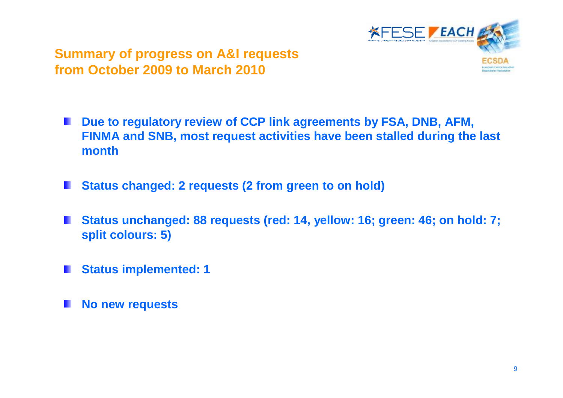

#### **Summary of progress on A&I requests from October 2009 to March 2010**

- **Due to regulatory review of CCP link agreements by FSA, DNB, AFM, TILL FINMA and SNB, most request activities have been stalled during the last month**
- **Status changed: 2 requests (2 from green to on hold)**
- **Status unchanged: 88 requests (red: 14, yellow: 16; green: 46; on hold: 7; split colours: 5)**
- **Status implemented: 1**
- **No new requests**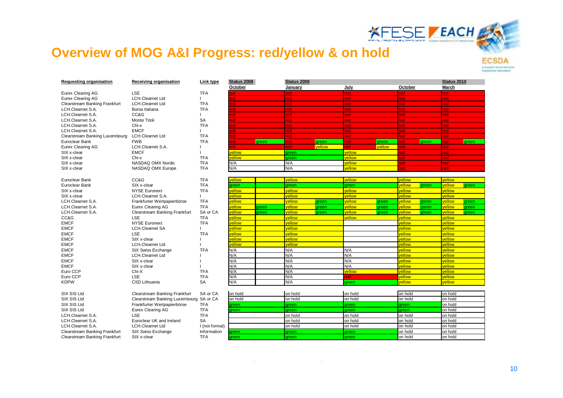

#### **Overview of MOG A&I Progress: red/yellow & on hold**

| March<br>January<br>July<br>October<br><b>LSE</b><br>Eurex Clearing AG<br><b>TFA</b><br>red<br>ed<br>ed<br>ed<br><b>LCH.Clearnet Ltd</b><br>Eurex Clearing AG<br>red<br>ed<br>ed<br>red.<br>Clearstream Banking Frankfurt<br><b>LCH.Clearnet Ltd</b><br><b>TFA</b><br>red<br>ed.<br>ed<br>red<br>LCH.Clearnet S.A.<br><b>TFA</b><br>Borsa Italiana<br>red<br>ed<br><u>ed</u><br>red.<br>LCH.Clearnet S.A.<br>CC&G<br>red<br><u>ed</u><br><u>ed</u><br>red<br>SA<br>LCH.Clearnet S.A.<br>Monte Titoli<br><u>red</u><br>ed<br><u>ed</u><br>red<br><b>TFA</b><br>LCH.Clearnet S.A.<br>Chi-x<br>red<br>ed<br>ed<br>red<br><b>EMCF</b><br>LCH.Clearnet S.A.<br>red<br>ed<br>ed<br>red<br>Clearstream Banking Luxembourg<br><b>LCH.Clearnet Ltd</b><br><b>TFA</b><br>red<br>ed<br>ed<br>red.<br>ed<br>Euroclear Bank<br><b>FWB</b><br><b>TFA</b><br>ed.<br>ed.<br>areen<br>ed.<br>areen<br>areen<br><b>areen</b><br>ed<br>areen<br>ed<br>Eurex Clearing AG<br>LCH.Clearnet S.A.<br><b>vellow</b><br>vellow<br>red.<br><b>ed</b><br>ed<br>redi<br>۵n<br>vellow<br><b>EMCF</b><br>vellow<br>SIX x-clear<br>ed<br>green<br>red.<br><b>TFA</b><br>vellow<br>SIX x-clear<br>Chi-x<br>vellow<br>ed<br>green<br>red.<br>N/A<br>N/A<br>SIX x-clear<br>NASDAQ OMX Nordic<br><b>TFA</b><br>vellow<br>ed<br>red.<br>N/A<br>N/A<br><b>TFA</b><br>vellow<br>SIX x-clear<br>NASDAQ OMX Europe<br>ed<br>red<br>vellow<br>vellow<br>vellow<br>vellow<br>Euroclear Bank<br>CC&G<br><b>TFA</b><br><i>r</i> ellow<br><b>TFA</b><br>vellow<br>Euroclear Bank<br>SIX x-clear<br><i>rellow</i><br>green<br>green<br>green<br><b>ireen</b><br>green<br><b>NYSE Euronext</b><br><b>TFA</b><br>vellow<br>vellow<br>vellow<br>vellow<br>vellow<br>SIX x-clear<br>vellow<br>vellow<br>vellow<br>SIX x-clear<br>LCH.Clearnet S.A.<br><i>r</i> ellow<br>vellow<br>LCH.Clearnet S.A.<br><b>TFA</b><br><i><b>ellow</b></i><br>vellow<br>vellow<br>vellow<br>vellow<br>Frankfurter Wertpapierbörse<br>green<br>green<br>areen<br>green<br><b>TFA</b><br>vellow<br>LCH.Clearnet S.A.<br><b>Eurex Clearing AG</b><br><i><b>ellow</b></i><br>vellow<br>vellow<br>vellow<br>areen<br>green<br>areen<br>green<br>green<br>vellow<br>SA or CA<br>vellow<br>vellow<br>vellow<br>LCH.Clearnet S.A.<br>Clearstream Banking Frankfurt<br>vellow<br>green<br>green<br>green<br>green<br>green<br>CC&G<br><b>LSE</b><br>vellow<br>vellow<br>vellow<br>vellow<br><b>TFA</b><br>vellow<br><b>EMCF</b><br><b>NYSE Euronext</b><br><b>TFA</b><br><i>r</i> ellow<br>vellow<br>vellow<br>vellow<br><b>EMCF</b><br>vellow<br><b>LCH.Clearnet SA</b><br><i>r</i> ellow<br>vellow<br>vellow<br><b>EMCF</b><br>LSE<br><b>TFA</b><br><b>ellow</b><br><i>r</i> ellow<br>vellow<br><i>v</i> ellow<br><b>EMCF</b><br>vellow<br>SIX x-clear<br><i>v</i> ellow<br><i>r</i> ellow<br><i>rellow</i><br><b>EMCF</b><br><b>LCH.Clearnet Ltd</b><br><i>r</i> ellow<br>vellow<br>vellow<br><i>rellow</i><br>N/A<br>N/A<br>N/A<br>vellow<br><b>EMCF</b><br>vellow<br>SIX Swiss Exchange<br><b>TFA</b><br>N/A<br>N/A<br><b>EMCF</b><br><b>LCH.Clearnet Ltd</b><br>N/A<br><i>rellow</i><br>vellow<br>N/A<br>N/A<br>N/A<br><b>EMCF</b><br>vellow<br>vellow<br>SIX x-clear<br><b>EMCF</b><br>N/A<br>N/A<br>N/A<br>SIX x-clear<br>vellow<br>vellow<br>N/A<br>N/A<br>vellow<br>vellow<br><i>rellow</i><br>Euro CCP<br>Chi-X<br><b>TFA</b><br><b>LSE</b><br>N/A<br>N/A<br>Euro CCP<br><b>TFA</b><br>vellow<br>vellow<br><b>Pd</b><br>N/A<br>N/A<br><b>KDPW</b><br><b>SA</b><br>vellow<br><b>CSD Lithuania</b><br>vellow<br>green<br>on hold<br>SIX SIS Ltd<br>Clearstream Banking Frankfurt<br>SA or CA<br>on hold<br>on hold<br>on hold<br>on hold<br>SIX SIS Ltd<br>Clearstream Banking Luxembourg SA or CA<br>on hold<br>on hold<br>on hold<br>on hold<br>on hold<br>SIX SIS Ltd<br>Frankfurter Wertpapierbörse<br><b>TFA</b><br>on hold<br><b>areen</b><br>areen<br>areen<br>areen<br>SIX SIS Ltd<br><b>TFA</b><br>on hold<br>Eurex Clearing AG<br>areen<br>areen<br>areen<br><b>rreen</b><br><b>LSE</b><br><b>TFA</b><br>LCH.Clearnet S.A.<br>on hold<br>on hold<br>on hold<br>on hold<br><b>SA</b><br>on hold<br>LCH.Clearnet S.A.<br>Euroclear UK and Ireland<br>on hold<br>on hold<br>on hold<br>LCH.Clearnet S.A.<br><b>LCH.Clearnet Ltd</b><br>on hold<br>on hold<br>on hold<br>on hold<br>I (not formal)<br>on hold<br>on hold<br>Clearstream Banking Frankfurt<br>SIX Swiss Exchange<br>Information<br>green<br>reen<br>green<br><b>TFA</b><br>on hold<br>Clearstream Banking Frankfurt<br>SIX x-clear<br>on hold<br>reen<br>green<br>green | Requesting organisation | Receiving organisation | Link type |                        |  | Status 2009 |  |  |  |  |  | Status 2010 |  |  |
|-------------------------------------------------------------------------------------------------------------------------------------------------------------------------------------------------------------------------------------------------------------------------------------------------------------------------------------------------------------------------------------------------------------------------------------------------------------------------------------------------------------------------------------------------------------------------------------------------------------------------------------------------------------------------------------------------------------------------------------------------------------------------------------------------------------------------------------------------------------------------------------------------------------------------------------------------------------------------------------------------------------------------------------------------------------------------------------------------------------------------------------------------------------------------------------------------------------------------------------------------------------------------------------------------------------------------------------------------------------------------------------------------------------------------------------------------------------------------------------------------------------------------------------------------------------------------------------------------------------------------------------------------------------------------------------------------------------------------------------------------------------------------------------------------------------------------------------------------------------------------------------------------------------------------------------------------------------------------------------------------------------------------------------------------------------------------------------------------------------------------------------------------------------------------------------------------------------------------------------------------------------------------------------------------------------------------------------------------------------------------------------------------------------------------------------------------------------------------------------------------------------------------------------------------------------------------------------------------------------------------------------------------------------------------------------------------------------------------------------------------------------------------------------------------------------------------------------------------------------------------------------------------------------------------------------------------------------------------------------------------------------------------------------------------------------------------------------------------------------------------------------------------------------------------------------------------------------------------------------------------------------------------------------------------------------------------------------------------------------------------------------------------------------------------------------------------------------------------------------------------------------------------------------------------------------------------------------------------------------------------------------------------------------------------------------------------------------------------------------------------------------------------------------------------------------------------------------------------------------------------------------------------------------------------------------------------------------------------------------------------------------------------------------------------------------------------------------------------------------------------------------------------------------------------------------------------------------------------------------------------------------------------------------------------------------------------------------------------------------------------------------------------------------------------------------------------------------------------------------------------------------------------------------------------------------------------|-------------------------|------------------------|-----------|------------------------|--|-------------|--|--|--|--|--|-------------|--|--|
|                                                                                                                                                                                                                                                                                                                                                                                                                                                                                                                                                                                                                                                                                                                                                                                                                                                                                                                                                                                                                                                                                                                                                                                                                                                                                                                                                                                                                                                                                                                                                                                                                                                                                                                                                                                                                                                                                                                                                                                                                                                                                                                                                                                                                                                                                                                                                                                                                                                                                                                                                                                                                                                                                                                                                                                                                                                                                                                                                                                                                                                                                                                                                                                                                                                                                                                                                                                                                                                                                                                                                                                                                                                                                                                                                                                                                                                                                                                                                                                                                                                                                                                                                                                                                                                                                                                                                                                                                                                                                                                                                                         |                         |                        |           |                        |  |             |  |  |  |  |  |             |  |  |
|                                                                                                                                                                                                                                                                                                                                                                                                                                                                                                                                                                                                                                                                                                                                                                                                                                                                                                                                                                                                                                                                                                                                                                                                                                                                                                                                                                                                                                                                                                                                                                                                                                                                                                                                                                                                                                                                                                                                                                                                                                                                                                                                                                                                                                                                                                                                                                                                                                                                                                                                                                                                                                                                                                                                                                                                                                                                                                                                                                                                                                                                                                                                                                                                                                                                                                                                                                                                                                                                                                                                                                                                                                                                                                                                                                                                                                                                                                                                                                                                                                                                                                                                                                                                                                                                                                                                                                                                                                                                                                                                                                         |                         |                        |           |                        |  |             |  |  |  |  |  |             |  |  |
|                                                                                                                                                                                                                                                                                                                                                                                                                                                                                                                                                                                                                                                                                                                                                                                                                                                                                                                                                                                                                                                                                                                                                                                                                                                                                                                                                                                                                                                                                                                                                                                                                                                                                                                                                                                                                                                                                                                                                                                                                                                                                                                                                                                                                                                                                                                                                                                                                                                                                                                                                                                                                                                                                                                                                                                                                                                                                                                                                                                                                                                                                                                                                                                                                                                                                                                                                                                                                                                                                                                                                                                                                                                                                                                                                                                                                                                                                                                                                                                                                                                                                                                                                                                                                                                                                                                                                                                                                                                                                                                                                                         |                         |                        |           |                        |  |             |  |  |  |  |  |             |  |  |
|                                                                                                                                                                                                                                                                                                                                                                                                                                                                                                                                                                                                                                                                                                                                                                                                                                                                                                                                                                                                                                                                                                                                                                                                                                                                                                                                                                                                                                                                                                                                                                                                                                                                                                                                                                                                                                                                                                                                                                                                                                                                                                                                                                                                                                                                                                                                                                                                                                                                                                                                                                                                                                                                                                                                                                                                                                                                                                                                                                                                                                                                                                                                                                                                                                                                                                                                                                                                                                                                                                                                                                                                                                                                                                                                                                                                                                                                                                                                                                                                                                                                                                                                                                                                                                                                                                                                                                                                                                                                                                                                                                         |                         |                        |           | Status 2008<br>October |  |             |  |  |  |  |  |             |  |  |
|                                                                                                                                                                                                                                                                                                                                                                                                                                                                                                                                                                                                                                                                                                                                                                                                                                                                                                                                                                                                                                                                                                                                                                                                                                                                                                                                                                                                                                                                                                                                                                                                                                                                                                                                                                                                                                                                                                                                                                                                                                                                                                                                                                                                                                                                                                                                                                                                                                                                                                                                                                                                                                                                                                                                                                                                                                                                                                                                                                                                                                                                                                                                                                                                                                                                                                                                                                                                                                                                                                                                                                                                                                                                                                                                                                                                                                                                                                                                                                                                                                                                                                                                                                                                                                                                                                                                                                                                                                                                                                                                                                         |                         |                        |           |                        |  |             |  |  |  |  |  |             |  |  |
|                                                                                                                                                                                                                                                                                                                                                                                                                                                                                                                                                                                                                                                                                                                                                                                                                                                                                                                                                                                                                                                                                                                                                                                                                                                                                                                                                                                                                                                                                                                                                                                                                                                                                                                                                                                                                                                                                                                                                                                                                                                                                                                                                                                                                                                                                                                                                                                                                                                                                                                                                                                                                                                                                                                                                                                                                                                                                                                                                                                                                                                                                                                                                                                                                                                                                                                                                                                                                                                                                                                                                                                                                                                                                                                                                                                                                                                                                                                                                                                                                                                                                                                                                                                                                                                                                                                                                                                                                                                                                                                                                                         |                         |                        |           |                        |  |             |  |  |  |  |  |             |  |  |
|                                                                                                                                                                                                                                                                                                                                                                                                                                                                                                                                                                                                                                                                                                                                                                                                                                                                                                                                                                                                                                                                                                                                                                                                                                                                                                                                                                                                                                                                                                                                                                                                                                                                                                                                                                                                                                                                                                                                                                                                                                                                                                                                                                                                                                                                                                                                                                                                                                                                                                                                                                                                                                                                                                                                                                                                                                                                                                                                                                                                                                                                                                                                                                                                                                                                                                                                                                                                                                                                                                                                                                                                                                                                                                                                                                                                                                                                                                                                                                                                                                                                                                                                                                                                                                                                                                                                                                                                                                                                                                                                                                         |                         |                        |           |                        |  |             |  |  |  |  |  |             |  |  |
|                                                                                                                                                                                                                                                                                                                                                                                                                                                                                                                                                                                                                                                                                                                                                                                                                                                                                                                                                                                                                                                                                                                                                                                                                                                                                                                                                                                                                                                                                                                                                                                                                                                                                                                                                                                                                                                                                                                                                                                                                                                                                                                                                                                                                                                                                                                                                                                                                                                                                                                                                                                                                                                                                                                                                                                                                                                                                                                                                                                                                                                                                                                                                                                                                                                                                                                                                                                                                                                                                                                                                                                                                                                                                                                                                                                                                                                                                                                                                                                                                                                                                                                                                                                                                                                                                                                                                                                                                                                                                                                                                                         |                         |                        |           |                        |  |             |  |  |  |  |  |             |  |  |
|                                                                                                                                                                                                                                                                                                                                                                                                                                                                                                                                                                                                                                                                                                                                                                                                                                                                                                                                                                                                                                                                                                                                                                                                                                                                                                                                                                                                                                                                                                                                                                                                                                                                                                                                                                                                                                                                                                                                                                                                                                                                                                                                                                                                                                                                                                                                                                                                                                                                                                                                                                                                                                                                                                                                                                                                                                                                                                                                                                                                                                                                                                                                                                                                                                                                                                                                                                                                                                                                                                                                                                                                                                                                                                                                                                                                                                                                                                                                                                                                                                                                                                                                                                                                                                                                                                                                                                                                                                                                                                                                                                         |                         |                        |           |                        |  |             |  |  |  |  |  |             |  |  |
|                                                                                                                                                                                                                                                                                                                                                                                                                                                                                                                                                                                                                                                                                                                                                                                                                                                                                                                                                                                                                                                                                                                                                                                                                                                                                                                                                                                                                                                                                                                                                                                                                                                                                                                                                                                                                                                                                                                                                                                                                                                                                                                                                                                                                                                                                                                                                                                                                                                                                                                                                                                                                                                                                                                                                                                                                                                                                                                                                                                                                                                                                                                                                                                                                                                                                                                                                                                                                                                                                                                                                                                                                                                                                                                                                                                                                                                                                                                                                                                                                                                                                                                                                                                                                                                                                                                                                                                                                                                                                                                                                                         |                         |                        |           |                        |  |             |  |  |  |  |  |             |  |  |
|                                                                                                                                                                                                                                                                                                                                                                                                                                                                                                                                                                                                                                                                                                                                                                                                                                                                                                                                                                                                                                                                                                                                                                                                                                                                                                                                                                                                                                                                                                                                                                                                                                                                                                                                                                                                                                                                                                                                                                                                                                                                                                                                                                                                                                                                                                                                                                                                                                                                                                                                                                                                                                                                                                                                                                                                                                                                                                                                                                                                                                                                                                                                                                                                                                                                                                                                                                                                                                                                                                                                                                                                                                                                                                                                                                                                                                                                                                                                                                                                                                                                                                                                                                                                                                                                                                                                                                                                                                                                                                                                                                         |                         |                        |           |                        |  |             |  |  |  |  |  |             |  |  |
|                                                                                                                                                                                                                                                                                                                                                                                                                                                                                                                                                                                                                                                                                                                                                                                                                                                                                                                                                                                                                                                                                                                                                                                                                                                                                                                                                                                                                                                                                                                                                                                                                                                                                                                                                                                                                                                                                                                                                                                                                                                                                                                                                                                                                                                                                                                                                                                                                                                                                                                                                                                                                                                                                                                                                                                                                                                                                                                                                                                                                                                                                                                                                                                                                                                                                                                                                                                                                                                                                                                                                                                                                                                                                                                                                                                                                                                                                                                                                                                                                                                                                                                                                                                                                                                                                                                                                                                                                                                                                                                                                                         |                         |                        |           |                        |  |             |  |  |  |  |  |             |  |  |
|                                                                                                                                                                                                                                                                                                                                                                                                                                                                                                                                                                                                                                                                                                                                                                                                                                                                                                                                                                                                                                                                                                                                                                                                                                                                                                                                                                                                                                                                                                                                                                                                                                                                                                                                                                                                                                                                                                                                                                                                                                                                                                                                                                                                                                                                                                                                                                                                                                                                                                                                                                                                                                                                                                                                                                                                                                                                                                                                                                                                                                                                                                                                                                                                                                                                                                                                                                                                                                                                                                                                                                                                                                                                                                                                                                                                                                                                                                                                                                                                                                                                                                                                                                                                                                                                                                                                                                                                                                                                                                                                                                         |                         |                        |           |                        |  |             |  |  |  |  |  |             |  |  |
|                                                                                                                                                                                                                                                                                                                                                                                                                                                                                                                                                                                                                                                                                                                                                                                                                                                                                                                                                                                                                                                                                                                                                                                                                                                                                                                                                                                                                                                                                                                                                                                                                                                                                                                                                                                                                                                                                                                                                                                                                                                                                                                                                                                                                                                                                                                                                                                                                                                                                                                                                                                                                                                                                                                                                                                                                                                                                                                                                                                                                                                                                                                                                                                                                                                                                                                                                                                                                                                                                                                                                                                                                                                                                                                                                                                                                                                                                                                                                                                                                                                                                                                                                                                                                                                                                                                                                                                                                                                                                                                                                                         |                         |                        |           |                        |  |             |  |  |  |  |  |             |  |  |
|                                                                                                                                                                                                                                                                                                                                                                                                                                                                                                                                                                                                                                                                                                                                                                                                                                                                                                                                                                                                                                                                                                                                                                                                                                                                                                                                                                                                                                                                                                                                                                                                                                                                                                                                                                                                                                                                                                                                                                                                                                                                                                                                                                                                                                                                                                                                                                                                                                                                                                                                                                                                                                                                                                                                                                                                                                                                                                                                                                                                                                                                                                                                                                                                                                                                                                                                                                                                                                                                                                                                                                                                                                                                                                                                                                                                                                                                                                                                                                                                                                                                                                                                                                                                                                                                                                                                                                                                                                                                                                                                                                         |                         |                        |           |                        |  |             |  |  |  |  |  |             |  |  |
|                                                                                                                                                                                                                                                                                                                                                                                                                                                                                                                                                                                                                                                                                                                                                                                                                                                                                                                                                                                                                                                                                                                                                                                                                                                                                                                                                                                                                                                                                                                                                                                                                                                                                                                                                                                                                                                                                                                                                                                                                                                                                                                                                                                                                                                                                                                                                                                                                                                                                                                                                                                                                                                                                                                                                                                                                                                                                                                                                                                                                                                                                                                                                                                                                                                                                                                                                                                                                                                                                                                                                                                                                                                                                                                                                                                                                                                                                                                                                                                                                                                                                                                                                                                                                                                                                                                                                                                                                                                                                                                                                                         |                         |                        |           |                        |  |             |  |  |  |  |  |             |  |  |
|                                                                                                                                                                                                                                                                                                                                                                                                                                                                                                                                                                                                                                                                                                                                                                                                                                                                                                                                                                                                                                                                                                                                                                                                                                                                                                                                                                                                                                                                                                                                                                                                                                                                                                                                                                                                                                                                                                                                                                                                                                                                                                                                                                                                                                                                                                                                                                                                                                                                                                                                                                                                                                                                                                                                                                                                                                                                                                                                                                                                                                                                                                                                                                                                                                                                                                                                                                                                                                                                                                                                                                                                                                                                                                                                                                                                                                                                                                                                                                                                                                                                                                                                                                                                                                                                                                                                                                                                                                                                                                                                                                         |                         |                        |           |                        |  |             |  |  |  |  |  |             |  |  |
|                                                                                                                                                                                                                                                                                                                                                                                                                                                                                                                                                                                                                                                                                                                                                                                                                                                                                                                                                                                                                                                                                                                                                                                                                                                                                                                                                                                                                                                                                                                                                                                                                                                                                                                                                                                                                                                                                                                                                                                                                                                                                                                                                                                                                                                                                                                                                                                                                                                                                                                                                                                                                                                                                                                                                                                                                                                                                                                                                                                                                                                                                                                                                                                                                                                                                                                                                                                                                                                                                                                                                                                                                                                                                                                                                                                                                                                                                                                                                                                                                                                                                                                                                                                                                                                                                                                                                                                                                                                                                                                                                                         |                         |                        |           |                        |  |             |  |  |  |  |  |             |  |  |
|                                                                                                                                                                                                                                                                                                                                                                                                                                                                                                                                                                                                                                                                                                                                                                                                                                                                                                                                                                                                                                                                                                                                                                                                                                                                                                                                                                                                                                                                                                                                                                                                                                                                                                                                                                                                                                                                                                                                                                                                                                                                                                                                                                                                                                                                                                                                                                                                                                                                                                                                                                                                                                                                                                                                                                                                                                                                                                                                                                                                                                                                                                                                                                                                                                                                                                                                                                                                                                                                                                                                                                                                                                                                                                                                                                                                                                                                                                                                                                                                                                                                                                                                                                                                                                                                                                                                                                                                                                                                                                                                                                         |                         |                        |           |                        |  |             |  |  |  |  |  |             |  |  |
|                                                                                                                                                                                                                                                                                                                                                                                                                                                                                                                                                                                                                                                                                                                                                                                                                                                                                                                                                                                                                                                                                                                                                                                                                                                                                                                                                                                                                                                                                                                                                                                                                                                                                                                                                                                                                                                                                                                                                                                                                                                                                                                                                                                                                                                                                                                                                                                                                                                                                                                                                                                                                                                                                                                                                                                                                                                                                                                                                                                                                                                                                                                                                                                                                                                                                                                                                                                                                                                                                                                                                                                                                                                                                                                                                                                                                                                                                                                                                                                                                                                                                                                                                                                                                                                                                                                                                                                                                                                                                                                                                                         |                         |                        |           |                        |  |             |  |  |  |  |  |             |  |  |
|                                                                                                                                                                                                                                                                                                                                                                                                                                                                                                                                                                                                                                                                                                                                                                                                                                                                                                                                                                                                                                                                                                                                                                                                                                                                                                                                                                                                                                                                                                                                                                                                                                                                                                                                                                                                                                                                                                                                                                                                                                                                                                                                                                                                                                                                                                                                                                                                                                                                                                                                                                                                                                                                                                                                                                                                                                                                                                                                                                                                                                                                                                                                                                                                                                                                                                                                                                                                                                                                                                                                                                                                                                                                                                                                                                                                                                                                                                                                                                                                                                                                                                                                                                                                                                                                                                                                                                                                                                                                                                                                                                         |                         |                        |           |                        |  |             |  |  |  |  |  |             |  |  |
|                                                                                                                                                                                                                                                                                                                                                                                                                                                                                                                                                                                                                                                                                                                                                                                                                                                                                                                                                                                                                                                                                                                                                                                                                                                                                                                                                                                                                                                                                                                                                                                                                                                                                                                                                                                                                                                                                                                                                                                                                                                                                                                                                                                                                                                                                                                                                                                                                                                                                                                                                                                                                                                                                                                                                                                                                                                                                                                                                                                                                                                                                                                                                                                                                                                                                                                                                                                                                                                                                                                                                                                                                                                                                                                                                                                                                                                                                                                                                                                                                                                                                                                                                                                                                                                                                                                                                                                                                                                                                                                                                                         |                         |                        |           |                        |  |             |  |  |  |  |  |             |  |  |
|                                                                                                                                                                                                                                                                                                                                                                                                                                                                                                                                                                                                                                                                                                                                                                                                                                                                                                                                                                                                                                                                                                                                                                                                                                                                                                                                                                                                                                                                                                                                                                                                                                                                                                                                                                                                                                                                                                                                                                                                                                                                                                                                                                                                                                                                                                                                                                                                                                                                                                                                                                                                                                                                                                                                                                                                                                                                                                                                                                                                                                                                                                                                                                                                                                                                                                                                                                                                                                                                                                                                                                                                                                                                                                                                                                                                                                                                                                                                                                                                                                                                                                                                                                                                                                                                                                                                                                                                                                                                                                                                                                         |                         |                        |           |                        |  |             |  |  |  |  |  |             |  |  |
|                                                                                                                                                                                                                                                                                                                                                                                                                                                                                                                                                                                                                                                                                                                                                                                                                                                                                                                                                                                                                                                                                                                                                                                                                                                                                                                                                                                                                                                                                                                                                                                                                                                                                                                                                                                                                                                                                                                                                                                                                                                                                                                                                                                                                                                                                                                                                                                                                                                                                                                                                                                                                                                                                                                                                                                                                                                                                                                                                                                                                                                                                                                                                                                                                                                                                                                                                                                                                                                                                                                                                                                                                                                                                                                                                                                                                                                                                                                                                                                                                                                                                                                                                                                                                                                                                                                                                                                                                                                                                                                                                                         |                         |                        |           |                        |  |             |  |  |  |  |  |             |  |  |
|                                                                                                                                                                                                                                                                                                                                                                                                                                                                                                                                                                                                                                                                                                                                                                                                                                                                                                                                                                                                                                                                                                                                                                                                                                                                                                                                                                                                                                                                                                                                                                                                                                                                                                                                                                                                                                                                                                                                                                                                                                                                                                                                                                                                                                                                                                                                                                                                                                                                                                                                                                                                                                                                                                                                                                                                                                                                                                                                                                                                                                                                                                                                                                                                                                                                                                                                                                                                                                                                                                                                                                                                                                                                                                                                                                                                                                                                                                                                                                                                                                                                                                                                                                                                                                                                                                                                                                                                                                                                                                                                                                         |                         |                        |           |                        |  |             |  |  |  |  |  |             |  |  |
|                                                                                                                                                                                                                                                                                                                                                                                                                                                                                                                                                                                                                                                                                                                                                                                                                                                                                                                                                                                                                                                                                                                                                                                                                                                                                                                                                                                                                                                                                                                                                                                                                                                                                                                                                                                                                                                                                                                                                                                                                                                                                                                                                                                                                                                                                                                                                                                                                                                                                                                                                                                                                                                                                                                                                                                                                                                                                                                                                                                                                                                                                                                                                                                                                                                                                                                                                                                                                                                                                                                                                                                                                                                                                                                                                                                                                                                                                                                                                                                                                                                                                                                                                                                                                                                                                                                                                                                                                                                                                                                                                                         |                         |                        |           |                        |  |             |  |  |  |  |  |             |  |  |
|                                                                                                                                                                                                                                                                                                                                                                                                                                                                                                                                                                                                                                                                                                                                                                                                                                                                                                                                                                                                                                                                                                                                                                                                                                                                                                                                                                                                                                                                                                                                                                                                                                                                                                                                                                                                                                                                                                                                                                                                                                                                                                                                                                                                                                                                                                                                                                                                                                                                                                                                                                                                                                                                                                                                                                                                                                                                                                                                                                                                                                                                                                                                                                                                                                                                                                                                                                                                                                                                                                                                                                                                                                                                                                                                                                                                                                                                                                                                                                                                                                                                                                                                                                                                                                                                                                                                                                                                                                                                                                                                                                         |                         |                        |           |                        |  |             |  |  |  |  |  |             |  |  |
|                                                                                                                                                                                                                                                                                                                                                                                                                                                                                                                                                                                                                                                                                                                                                                                                                                                                                                                                                                                                                                                                                                                                                                                                                                                                                                                                                                                                                                                                                                                                                                                                                                                                                                                                                                                                                                                                                                                                                                                                                                                                                                                                                                                                                                                                                                                                                                                                                                                                                                                                                                                                                                                                                                                                                                                                                                                                                                                                                                                                                                                                                                                                                                                                                                                                                                                                                                                                                                                                                                                                                                                                                                                                                                                                                                                                                                                                                                                                                                                                                                                                                                                                                                                                                                                                                                                                                                                                                                                                                                                                                                         |                         |                        |           |                        |  |             |  |  |  |  |  |             |  |  |
|                                                                                                                                                                                                                                                                                                                                                                                                                                                                                                                                                                                                                                                                                                                                                                                                                                                                                                                                                                                                                                                                                                                                                                                                                                                                                                                                                                                                                                                                                                                                                                                                                                                                                                                                                                                                                                                                                                                                                                                                                                                                                                                                                                                                                                                                                                                                                                                                                                                                                                                                                                                                                                                                                                                                                                                                                                                                                                                                                                                                                                                                                                                                                                                                                                                                                                                                                                                                                                                                                                                                                                                                                                                                                                                                                                                                                                                                                                                                                                                                                                                                                                                                                                                                                                                                                                                                                                                                                                                                                                                                                                         |                         |                        |           |                        |  |             |  |  |  |  |  |             |  |  |
|                                                                                                                                                                                                                                                                                                                                                                                                                                                                                                                                                                                                                                                                                                                                                                                                                                                                                                                                                                                                                                                                                                                                                                                                                                                                                                                                                                                                                                                                                                                                                                                                                                                                                                                                                                                                                                                                                                                                                                                                                                                                                                                                                                                                                                                                                                                                                                                                                                                                                                                                                                                                                                                                                                                                                                                                                                                                                                                                                                                                                                                                                                                                                                                                                                                                                                                                                                                                                                                                                                                                                                                                                                                                                                                                                                                                                                                                                                                                                                                                                                                                                                                                                                                                                                                                                                                                                                                                                                                                                                                                                                         |                         |                        |           |                        |  |             |  |  |  |  |  |             |  |  |
|                                                                                                                                                                                                                                                                                                                                                                                                                                                                                                                                                                                                                                                                                                                                                                                                                                                                                                                                                                                                                                                                                                                                                                                                                                                                                                                                                                                                                                                                                                                                                                                                                                                                                                                                                                                                                                                                                                                                                                                                                                                                                                                                                                                                                                                                                                                                                                                                                                                                                                                                                                                                                                                                                                                                                                                                                                                                                                                                                                                                                                                                                                                                                                                                                                                                                                                                                                                                                                                                                                                                                                                                                                                                                                                                                                                                                                                                                                                                                                                                                                                                                                                                                                                                                                                                                                                                                                                                                                                                                                                                                                         |                         |                        |           |                        |  |             |  |  |  |  |  |             |  |  |
|                                                                                                                                                                                                                                                                                                                                                                                                                                                                                                                                                                                                                                                                                                                                                                                                                                                                                                                                                                                                                                                                                                                                                                                                                                                                                                                                                                                                                                                                                                                                                                                                                                                                                                                                                                                                                                                                                                                                                                                                                                                                                                                                                                                                                                                                                                                                                                                                                                                                                                                                                                                                                                                                                                                                                                                                                                                                                                                                                                                                                                                                                                                                                                                                                                                                                                                                                                                                                                                                                                                                                                                                                                                                                                                                                                                                                                                                                                                                                                                                                                                                                                                                                                                                                                                                                                                                                                                                                                                                                                                                                                         |                         |                        |           |                        |  |             |  |  |  |  |  |             |  |  |
|                                                                                                                                                                                                                                                                                                                                                                                                                                                                                                                                                                                                                                                                                                                                                                                                                                                                                                                                                                                                                                                                                                                                                                                                                                                                                                                                                                                                                                                                                                                                                                                                                                                                                                                                                                                                                                                                                                                                                                                                                                                                                                                                                                                                                                                                                                                                                                                                                                                                                                                                                                                                                                                                                                                                                                                                                                                                                                                                                                                                                                                                                                                                                                                                                                                                                                                                                                                                                                                                                                                                                                                                                                                                                                                                                                                                                                                                                                                                                                                                                                                                                                                                                                                                                                                                                                                                                                                                                                                                                                                                                                         |                         |                        |           |                        |  |             |  |  |  |  |  |             |  |  |
|                                                                                                                                                                                                                                                                                                                                                                                                                                                                                                                                                                                                                                                                                                                                                                                                                                                                                                                                                                                                                                                                                                                                                                                                                                                                                                                                                                                                                                                                                                                                                                                                                                                                                                                                                                                                                                                                                                                                                                                                                                                                                                                                                                                                                                                                                                                                                                                                                                                                                                                                                                                                                                                                                                                                                                                                                                                                                                                                                                                                                                                                                                                                                                                                                                                                                                                                                                                                                                                                                                                                                                                                                                                                                                                                                                                                                                                                                                                                                                                                                                                                                                                                                                                                                                                                                                                                                                                                                                                                                                                                                                         |                         |                        |           |                        |  |             |  |  |  |  |  |             |  |  |
|                                                                                                                                                                                                                                                                                                                                                                                                                                                                                                                                                                                                                                                                                                                                                                                                                                                                                                                                                                                                                                                                                                                                                                                                                                                                                                                                                                                                                                                                                                                                                                                                                                                                                                                                                                                                                                                                                                                                                                                                                                                                                                                                                                                                                                                                                                                                                                                                                                                                                                                                                                                                                                                                                                                                                                                                                                                                                                                                                                                                                                                                                                                                                                                                                                                                                                                                                                                                                                                                                                                                                                                                                                                                                                                                                                                                                                                                                                                                                                                                                                                                                                                                                                                                                                                                                                                                                                                                                                                                                                                                                                         |                         |                        |           |                        |  |             |  |  |  |  |  |             |  |  |
|                                                                                                                                                                                                                                                                                                                                                                                                                                                                                                                                                                                                                                                                                                                                                                                                                                                                                                                                                                                                                                                                                                                                                                                                                                                                                                                                                                                                                                                                                                                                                                                                                                                                                                                                                                                                                                                                                                                                                                                                                                                                                                                                                                                                                                                                                                                                                                                                                                                                                                                                                                                                                                                                                                                                                                                                                                                                                                                                                                                                                                                                                                                                                                                                                                                                                                                                                                                                                                                                                                                                                                                                                                                                                                                                                                                                                                                                                                                                                                                                                                                                                                                                                                                                                                                                                                                                                                                                                                                                                                                                                                         |                         |                        |           |                        |  |             |  |  |  |  |  |             |  |  |
|                                                                                                                                                                                                                                                                                                                                                                                                                                                                                                                                                                                                                                                                                                                                                                                                                                                                                                                                                                                                                                                                                                                                                                                                                                                                                                                                                                                                                                                                                                                                                                                                                                                                                                                                                                                                                                                                                                                                                                                                                                                                                                                                                                                                                                                                                                                                                                                                                                                                                                                                                                                                                                                                                                                                                                                                                                                                                                                                                                                                                                                                                                                                                                                                                                                                                                                                                                                                                                                                                                                                                                                                                                                                                                                                                                                                                                                                                                                                                                                                                                                                                                                                                                                                                                                                                                                                                                                                                                                                                                                                                                         |                         |                        |           |                        |  |             |  |  |  |  |  |             |  |  |
|                                                                                                                                                                                                                                                                                                                                                                                                                                                                                                                                                                                                                                                                                                                                                                                                                                                                                                                                                                                                                                                                                                                                                                                                                                                                                                                                                                                                                                                                                                                                                                                                                                                                                                                                                                                                                                                                                                                                                                                                                                                                                                                                                                                                                                                                                                                                                                                                                                                                                                                                                                                                                                                                                                                                                                                                                                                                                                                                                                                                                                                                                                                                                                                                                                                                                                                                                                                                                                                                                                                                                                                                                                                                                                                                                                                                                                                                                                                                                                                                                                                                                                                                                                                                                                                                                                                                                                                                                                                                                                                                                                         |                         |                        |           |                        |  |             |  |  |  |  |  |             |  |  |
|                                                                                                                                                                                                                                                                                                                                                                                                                                                                                                                                                                                                                                                                                                                                                                                                                                                                                                                                                                                                                                                                                                                                                                                                                                                                                                                                                                                                                                                                                                                                                                                                                                                                                                                                                                                                                                                                                                                                                                                                                                                                                                                                                                                                                                                                                                                                                                                                                                                                                                                                                                                                                                                                                                                                                                                                                                                                                                                                                                                                                                                                                                                                                                                                                                                                                                                                                                                                                                                                                                                                                                                                                                                                                                                                                                                                                                                                                                                                                                                                                                                                                                                                                                                                                                                                                                                                                                                                                                                                                                                                                                         |                         |                        |           |                        |  |             |  |  |  |  |  |             |  |  |
|                                                                                                                                                                                                                                                                                                                                                                                                                                                                                                                                                                                                                                                                                                                                                                                                                                                                                                                                                                                                                                                                                                                                                                                                                                                                                                                                                                                                                                                                                                                                                                                                                                                                                                                                                                                                                                                                                                                                                                                                                                                                                                                                                                                                                                                                                                                                                                                                                                                                                                                                                                                                                                                                                                                                                                                                                                                                                                                                                                                                                                                                                                                                                                                                                                                                                                                                                                                                                                                                                                                                                                                                                                                                                                                                                                                                                                                                                                                                                                                                                                                                                                                                                                                                                                                                                                                                                                                                                                                                                                                                                                         |                         |                        |           |                        |  |             |  |  |  |  |  |             |  |  |
|                                                                                                                                                                                                                                                                                                                                                                                                                                                                                                                                                                                                                                                                                                                                                                                                                                                                                                                                                                                                                                                                                                                                                                                                                                                                                                                                                                                                                                                                                                                                                                                                                                                                                                                                                                                                                                                                                                                                                                                                                                                                                                                                                                                                                                                                                                                                                                                                                                                                                                                                                                                                                                                                                                                                                                                                                                                                                                                                                                                                                                                                                                                                                                                                                                                                                                                                                                                                                                                                                                                                                                                                                                                                                                                                                                                                                                                                                                                                                                                                                                                                                                                                                                                                                                                                                                                                                                                                                                                                                                                                                                         |                         |                        |           |                        |  |             |  |  |  |  |  |             |  |  |
|                                                                                                                                                                                                                                                                                                                                                                                                                                                                                                                                                                                                                                                                                                                                                                                                                                                                                                                                                                                                                                                                                                                                                                                                                                                                                                                                                                                                                                                                                                                                                                                                                                                                                                                                                                                                                                                                                                                                                                                                                                                                                                                                                                                                                                                                                                                                                                                                                                                                                                                                                                                                                                                                                                                                                                                                                                                                                                                                                                                                                                                                                                                                                                                                                                                                                                                                                                                                                                                                                                                                                                                                                                                                                                                                                                                                                                                                                                                                                                                                                                                                                                                                                                                                                                                                                                                                                                                                                                                                                                                                                                         |                         |                        |           |                        |  |             |  |  |  |  |  |             |  |  |
|                                                                                                                                                                                                                                                                                                                                                                                                                                                                                                                                                                                                                                                                                                                                                                                                                                                                                                                                                                                                                                                                                                                                                                                                                                                                                                                                                                                                                                                                                                                                                                                                                                                                                                                                                                                                                                                                                                                                                                                                                                                                                                                                                                                                                                                                                                                                                                                                                                                                                                                                                                                                                                                                                                                                                                                                                                                                                                                                                                                                                                                                                                                                                                                                                                                                                                                                                                                                                                                                                                                                                                                                                                                                                                                                                                                                                                                                                                                                                                                                                                                                                                                                                                                                                                                                                                                                                                                                                                                                                                                                                                         |                         |                        |           |                        |  |             |  |  |  |  |  |             |  |  |
|                                                                                                                                                                                                                                                                                                                                                                                                                                                                                                                                                                                                                                                                                                                                                                                                                                                                                                                                                                                                                                                                                                                                                                                                                                                                                                                                                                                                                                                                                                                                                                                                                                                                                                                                                                                                                                                                                                                                                                                                                                                                                                                                                                                                                                                                                                                                                                                                                                                                                                                                                                                                                                                                                                                                                                                                                                                                                                                                                                                                                                                                                                                                                                                                                                                                                                                                                                                                                                                                                                                                                                                                                                                                                                                                                                                                                                                                                                                                                                                                                                                                                                                                                                                                                                                                                                                                                                                                                                                                                                                                                                         |                         |                        |           |                        |  |             |  |  |  |  |  |             |  |  |
|                                                                                                                                                                                                                                                                                                                                                                                                                                                                                                                                                                                                                                                                                                                                                                                                                                                                                                                                                                                                                                                                                                                                                                                                                                                                                                                                                                                                                                                                                                                                                                                                                                                                                                                                                                                                                                                                                                                                                                                                                                                                                                                                                                                                                                                                                                                                                                                                                                                                                                                                                                                                                                                                                                                                                                                                                                                                                                                                                                                                                                                                                                                                                                                                                                                                                                                                                                                                                                                                                                                                                                                                                                                                                                                                                                                                                                                                                                                                                                                                                                                                                                                                                                                                                                                                                                                                                                                                                                                                                                                                                                         |                         |                        |           |                        |  |             |  |  |  |  |  |             |  |  |
|                                                                                                                                                                                                                                                                                                                                                                                                                                                                                                                                                                                                                                                                                                                                                                                                                                                                                                                                                                                                                                                                                                                                                                                                                                                                                                                                                                                                                                                                                                                                                                                                                                                                                                                                                                                                                                                                                                                                                                                                                                                                                                                                                                                                                                                                                                                                                                                                                                                                                                                                                                                                                                                                                                                                                                                                                                                                                                                                                                                                                                                                                                                                                                                                                                                                                                                                                                                                                                                                                                                                                                                                                                                                                                                                                                                                                                                                                                                                                                                                                                                                                                                                                                                                                                                                                                                                                                                                                                                                                                                                                                         |                         |                        |           |                        |  |             |  |  |  |  |  |             |  |  |
|                                                                                                                                                                                                                                                                                                                                                                                                                                                                                                                                                                                                                                                                                                                                                                                                                                                                                                                                                                                                                                                                                                                                                                                                                                                                                                                                                                                                                                                                                                                                                                                                                                                                                                                                                                                                                                                                                                                                                                                                                                                                                                                                                                                                                                                                                                                                                                                                                                                                                                                                                                                                                                                                                                                                                                                                                                                                                                                                                                                                                                                                                                                                                                                                                                                                                                                                                                                                                                                                                                                                                                                                                                                                                                                                                                                                                                                                                                                                                                                                                                                                                                                                                                                                                                                                                                                                                                                                                                                                                                                                                                         |                         |                        |           |                        |  |             |  |  |  |  |  |             |  |  |

 $\mathcal{L}^{\mathcal{L}}(\mathcal{L}^{\mathcal{L}})$  and the contract of the contract of the contract of the contract of the contract of the contract of the contract of the contract of the contract of the contract of the contract of the contrac